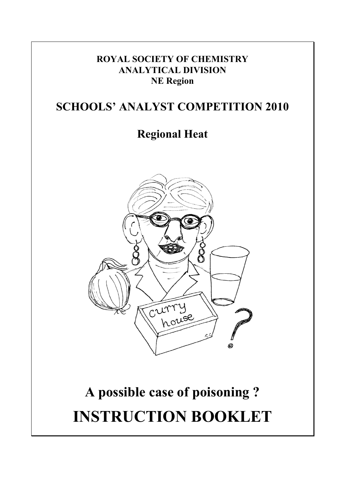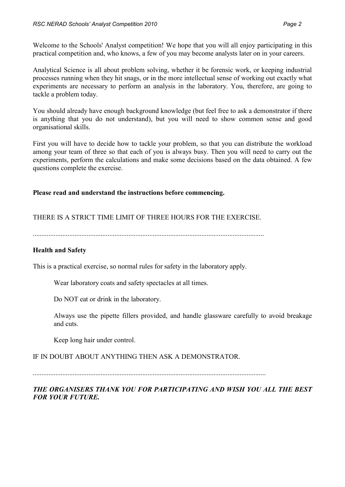Welcome to the Schools' Analyst competition! We hope that you will all enjoy participating in this practical competition and, who knows, a few of you may become analysts later on in your careers.

Analytical Science is all about problem solving, whether it be forensic work, or keeping industrial processes running when they hit snags, or in the more intellectual sense of working out exactly what experiments are necessary to perform an analysis in the laboratory. You, therefore, are going to tackle a problem today.

You should already have enough background knowledge (but feel free to ask a demonstrator if there is anything that you do not understand), but you will need to show common sense and good organisational skills.

First you will have to decide how to tackle your problem, so that you can distribute the workload among your team of three so that each of you is always busy. Then you will need to carry out the experiments, perform the calculations and make some decisions based on the data obtained. A few questions complete the exercise.

#### **Please read and understand the instructions before commencing.**

#### THERE IS A STRICT TIME LIMIT OF THREE HOURS FOR THE EXERCISE.

#### **Health and Safety**

This is a practical exercise, so normal rules for safety in the laboratory apply.

Wear laboratory coats and safety spectacles at all times.

Do NOT eat or drink in the laboratory.

Always use the pipette fillers provided, and handle glassware carefully to avoid breakage and cuts.

Keep long hair under control.

#### IF IN DOUBT ABOUT ANYTHING THEN ASK A DEMONSTRATOR.

*THE ORGANISERS THANK YOU FOR PARTICIPATING AND WISH YOU ALL THE BEST FOR YOUR FUTURE.*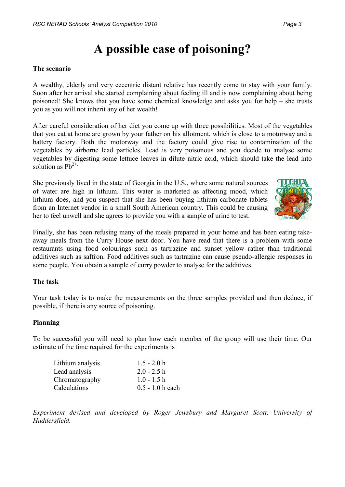# **A possible case of poisoning?**

#### **The scenario**

A wealthy, elderly and very eccentric distant relative has recently come to stay with your family. Soon after her arrival she started complaining about feeling ill and is now complaining about being poisoned! She knows that you have some chemical knowledge and asks you for help – she trusts you as you will not inherit any of her wealth!

After careful consideration of her diet you come up with three possibilities. Most of the vegetables that you eat at home are grown by your father on his allotment, which is close to a motorway and a battery factory. Both the motorway and the factory could give rise to contamination of the vegetables by airborne lead particles. Lead is very poisonous and you decide to analyse some vegetables by digesting some lettuce leaves in dilute nitric acid, which should take the lead into solution as  $Pb^{2+}$ .

She previously lived in the state of Georgia in the U.S., where some natural sources of water are high in lithium. This water is marketed as affecting mood, which lithium does, and you suspect that she has been buying lithium carbonate tablets from an Internet vendor in a small South American country. This could be causing her to feel unwell and she agrees to provide you with a sample of urine to test.



Finally, she has been refusing many of the meals prepared in your home and has been eating takeaway meals from the Curry House next door. You have read that there is a problem with some restaurants using food colourings such as tartrazine and sunset yellow rather than traditional additives such as saffron. Food additives such as tartrazine can cause pseudo-allergic responses in some people. You obtain a sample of curry powder to analyse for the additives.

#### **The task**

Your task today is to make the measurements on the three samples provided and then deduce, if possible, if there is any source of poisoning.

#### **Planning**

To be successful you will need to plan how each member of the group will use their time. Our estimate of the time required for the experiments is

| $1.5 - 2.0 h$      |
|--------------------|
| $2.0 - 2.5 h$      |
| $1.0 - 1.5 h$      |
| $0.5 - 1.0 h$ each |
|                    |

*Experiment devised and developed by Roger Jewsbury and Margaret Scott, University of Huddersfield.*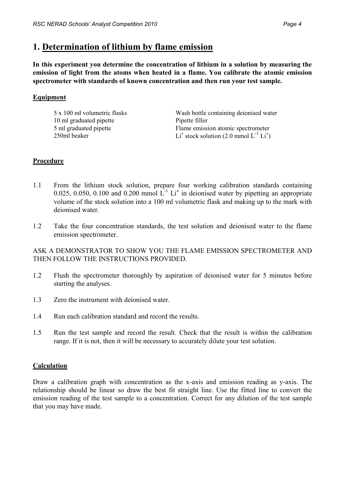### **1. Determination of lithium by flame emission**

**In this experiment you determine the concentration of lithium in a solution by measuring the emission of light from the atoms when heated in a flame. You calibrate the atomic emission spectrometer with standards of known concentration and then run your test sample.**

#### **Equipment**

| Wash bottle containing deionised water                              |
|---------------------------------------------------------------------|
|                                                                     |
| Flame emission atomic spectrometer                                  |
| Li <sup>+</sup> stock solution (2.0 mmol $L^{-1}$ Li <sup>+</sup> ) |
|                                                                     |

#### **Procedure**

- 1.1 From the lithium stock solution, prepare four working calibration standards containing 0.025, 0.050, 0.100 and 0.200 mmol  $L^{-1} L i^+$  in deionised water by pipetting an appropriate volume of the stock solution into a 100 ml volumetric flask and making up to the mark with deionised water.
- 1.2 Take the four concentration standards, the test solution and deionised water to the flame emission spectrometer.

ASK A DEMONSTRATOR TO SHOW YOU THE FLAME EMISSION SPECTROMETER AND THEN FOLLOW THE INSTRUCTIONS PROVIDED.

- 1.2 Flush the spectrometer thoroughly by aspiration of deionised water for 5 minutes before starting the analyses.
- 1.3 Zero the instrument with deionised water.
- 1.4 Run each calibration standard and record the results.
- 1.5 Run the test sample and record the result. Check that the result is within the calibration range. If it is not, then it will be necessary to accurately dilute your test solution.

#### **Calculation**

Draw a calibration graph with concentration as the x-axis and emission reading as y-axis. The relationship should be linear so draw the best fit straight line. Use the fitted line to convert the emission reading of the test sample to a concentration. Correct for any dilution of the test sample that you may have made.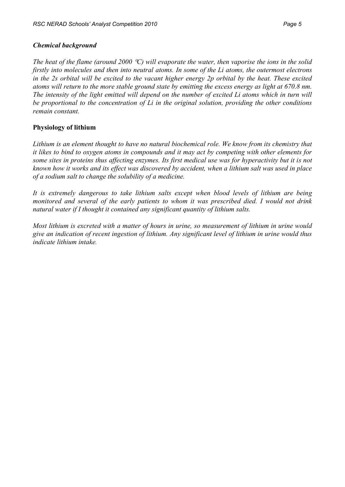#### *Chemical background*

*The heat of the flame (around 2000 C) will evaporate the water, then vaporise the ions in the solid firstly into molecules and then into neutral atoms. In some of the Li atoms, the outermost electrons in the 2s orbital will be excited to the vacant higher energy 2p orbital by the heat. These excited atoms will return to the more stable ground state by emitting the excess energy as light at 670.8 nm. The intensity of the light emitted will depend on the number of excited Li atoms which in turn will be proportional to the concentration of Li in the original solution, providing the other conditions remain constant.*

#### **Physiology of lithium**

*Lithium is an element thought to have no natural biochemical role. We know from its chemistry that it likes to bind to oxygen atoms in compounds and it may act by competing with other elements for some sites in proteins thus affecting enzymes. Its first medical use was for hyperactivity but it is not known how it works and its effect was discovered by accident, when a lithium salt was used in place of a sodium salt to change the solubility of a medicine.*

*It is extremely dangerous to take lithium salts except when blood levels of lithium are being monitored and several of the early patients to whom it was prescribed died. I would not drink natural water if I thought it contained any significant quantity of lithium salts.*

*Most lithium is excreted with a matter of hours in urine, so measurement of lithium in urine would give an indication of recent ingestion of lithium. Any significant level of lithium in urine would thus indicate lithium intake.*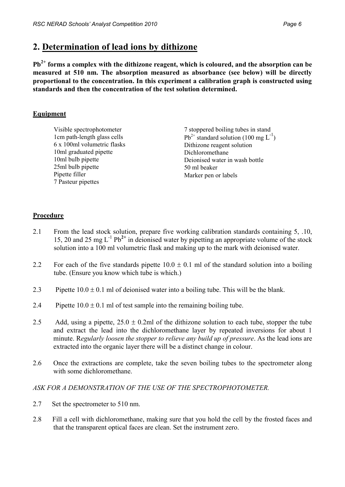### **2. Determination of lead ions by dithizone**

**Pb2+ forms a complex with the dithizone reagent, which is coloured, and the absorption can be measured at 510 nm. The absorption measured as absorbance (see below) will be directly proportional to the concentration. In this experiment a calibration graph is constructed using standards and then the concentration of the test solution determined.**

#### **Equipment**

Visible spectrophotometer 1cm path-length glass cells 6 x 100ml volumetric flasks 10ml graduated pipette 10ml bulb pipette 25ml bulb pipette Pipette filler 7 Pasteur pipettes

7 stoppered boiling tubes in stand  $Pb^{2+}$  standard solution (100 mg  $L^{-1}$ ) Dithizone reagent solution Dichloromethane Deionised water in wash bottle 50 ml beaker Marker pen or labels

#### **Procedure**

- 2.1 From the lead stock solution, prepare five working calibration standards containing 5, .10, 15, 20 and 25 mg L-1 Pb**2+** in deionised water by pipetting an appropriate volume of the stock solution into a 100 ml volumetric flask and making up to the mark with deionised water.
- 2.2 For each of the five standards pipette  $10.0 \pm 0.1$  ml of the standard solution into a boiling tube. (Ensure you know which tube is which.)
- 2.3 Pipette  $10.0 \pm 0.1$  ml of deionised water into a boiling tube. This will be the blank.
- 2.4 Pipette  $10.0 \pm 0.1$  ml of test sample into the remaining boiling tube.
- 2.5 Add, using a pipette,  $25.0 \pm 0.2$ ml of the dithizone solution to each tube, stopper the tube and extract the lead into the dichloromethane layer by repeated inversions for about 1 minute. R*egularly loosen the stopper to relieve any build up of pressure*. As the lead ions are extracted into the organic layer there will be a distinct change in colour.
- 2.6 Once the extractions are complete, take the seven boiling tubes to the spectrometer along with some dichloromethane.

#### *ASK FOR A DEMONSTRATION OF THE USE OF THE SPECTROPHOTOMETER.*

- 2.7 Set the spectrometer to 510 nm.
- 2.8 Fill a cell with dichloromethane, making sure that you hold the cell by the frosted faces and that the transparent optical faces are clean. Set the instrument zero.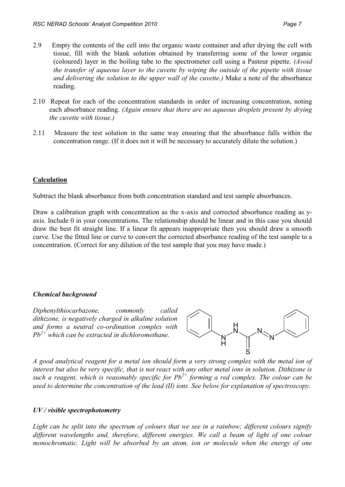- 2.9 Empty the contents of the cell into the organic waste container and after drying the cell with tissue, fill with the blank solution obtained by transferring some of the lower organic (coloured) layer in the boiling tube to the spectrometer cell using a Pasteur pipette. *(Avoid the transfer of aqueous layer to the cuvette by wiping the outside of the pipette with tissue and delivering the solution to the upper wall of the cuvette.)* Make a note of the absorbance reading.
- 2.10 Repeat for each of the concentration standards in order of increasing concentration, noting each absorbance reading. *(Again ensure that there are no aqueous droplets present by drying the cuvette with tissue.)*
- 2.11 Measure the test solution in the same way ensuring that the absorbance falls within the concentration range. (If it does not it will be necessary to accurately dilute the solution.)

#### **Calculation**

Subtract the blank absorbance from both concentration standard and test sample absorbances.

Draw a calibration graph with concentration as the x-axis and corrected absorbance reading as yaxis. Include 0 in your concentrations. The relationship should be linear and in this case you should draw the best fit straight line. If a linear fit appears inappropriate then you should draw a smooth curve. Use the fitted line or curve to convert the corrected absorbance reading of the test sample to a concentration. (Correct for any dilution of the test sample that you may have made.)

#### *Chemical background*

*Diphenylthiocarbazone, commonly called dithizone, is negatively charged in alkaline solution and forms a neutral co-ordination complex with Pb2+ which can be extracted in dichloromethane.*



*A good analytical reagent for a metal ion should form a very strong complex with the metal ion of interest but also be very specific, that is not react with any other metal ions in solution. Dithizone is such a reagent, which is reasonably specific for Pb2+ forming a red complex. The colour can be used to determine the concentration of the lead (II) ions. See below for explanation of spectroscopy.*

#### *UV / visible spectrophotometry*

*Light can be split into the spectrum of colours that we see in a rainbow; different colours signify different wavelengths and, therefore, different energies. We call a beam of light of one colour monochromatic. Light will be absorbed by an atom, ion or molecule when the energy of one*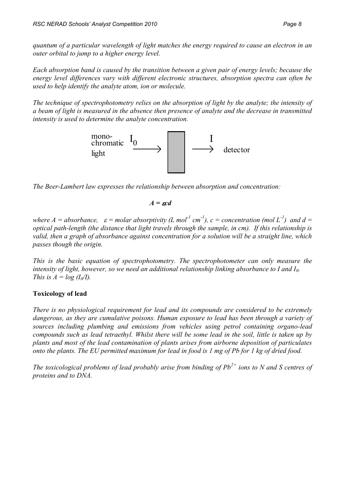*quantum of a particular wavelength of light matches the energy required to cause an electron in an outer orbital to jump to a higher energy level.* 

*Each absorption band is caused by the transition between a given pair of energy levels; because the energy level differences vary with different electronic structures, absorption spectra can often be used to help identify the analyte atom, ion or molecule.* 

*The technique of spectrophotometry relies on the absorption of light by the analyte; the intensity of a beam of light is measured in the absence then presence of analyte and the decrease in transmitted intensity is used to determine the analyte concentration.* 



*The Beer-Lambert law expresses the relationship between absorption and concentration:* 

 $A = \epsilon c d$ 

*where A* = absorbance,  $\varepsilon$  = molar absorptivity (L mol<sup>1</sup> cm<sup>-1</sup>), c = concentration (mol L<sup>-1</sup>) and d = *optical path-length (the distance that light travels through the sample, in cm). If this relationship is valid, then a graph of absorbance against concentration for a solution will be a straight line, which passes though the origin.*

*This is the basic equation of spectrophotometry. The spectrophotometer can only measure the intensity of light, however, so we need an additional relationship linking absorbance to I and I0. This is*  $A = log(I_0/I)$ *.* 

#### **Toxicology of lead**

*There is no physiological requirement for lead and its compounds are considered to be extremely dangerous, as they are cumulative poisons. Human exposure to lead has been through a variety of sources including plumbing and emissions from vehicles using petrol containing organo-lead compounds such as lead tetraethyl. Whilst there will be some lead in the soil, little is taken up by plants and most of the lead contamination of plants arises from airborne deposition of particulates onto the plants. The EU permitted maximum for lead in food is 1 mg of Pb for 1 kg of dried food.*

*The toxicological problems of lead probably arise from binding of Pb2+ ions to N and S centres of proteins and to DNA.*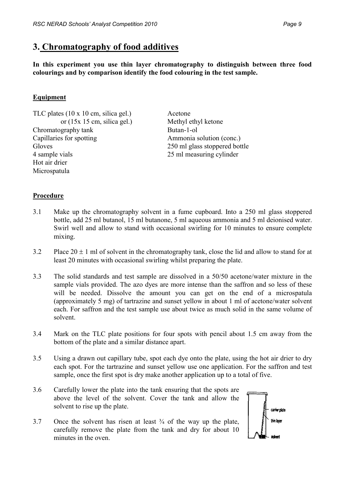### **3. Chromatography of food additives**

**In this experiment you use thin layer chromatography to distinguish between three food colourings and by comparison identify the food colouring in the test sample.**

#### **Equipment**

TLC plates (10 x 10 cm, silica gel.) or (15x 15 cm, silica gel.) Chromatography tank Capillaries for spotting **Gloves** 4 sample vials Hot air drier Microspatula

Acetone Methyl ethyl ketone Butan-1-ol Ammonia solution (conc.) 250 ml glass stoppered bottle 25 ml measuring cylinder

#### **Procedure**

- 3.1 Make up the chromatography solvent in a fume cupboard. Into a 250 ml glass stoppered bottle, add 25 ml butanol, 15 ml butanone, 5 ml aqueous ammonia and 5 ml deionised water. Swirl well and allow to stand with occasional swirling for 10 minutes to ensure complete mixing.
- 3.2 Place  $20 \pm 1$  ml of solvent in the chromatography tank, close the lid and allow to stand for at least 20 minutes with occasional swirling whilst preparing the plate.
- 3.3 The solid standards and test sample are dissolved in a 50/50 acetone/water mixture in the sample vials provided. The azo dyes are more intense than the saffron and so less of these will be needed. Dissolve the amount you can get on the end of a microspatula (approximately 5 mg) of tartrazine and sunset yellow in about 1 ml of acetone/water solvent each. For saffron and the test sample use about twice as much solid in the same volume of solvent.
- 3.4 Mark on the TLC plate positions for four spots with pencil about 1.5 cm away from the bottom of the plate and a similar distance apart.
- 3.5 Using a drawn out capillary tube, spot each dye onto the plate, using the hot air drier to dry each spot. For the tartrazine and sunset yellow use one application. For the saffron and test sample, once the first spot is dry make another application up to a total of five.
- 3.6 Carefully lower the plate into the tank ensuring that the spots are above the level of the solvent. Cover the tank and allow the solvent to rise up the plate.
- 3.7 Once the solvent has risen at least  $\frac{3}{4}$  of the way up the plate, carefully remove the plate from the tank and dry for about 10 minutes in the oven.

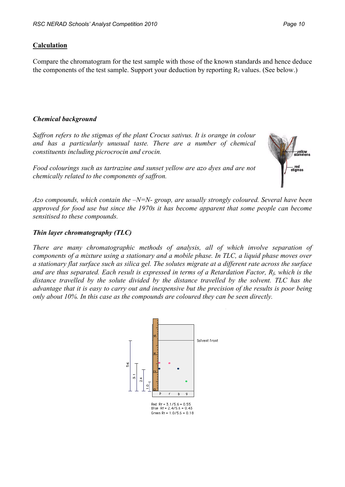#### **Calculation**

Compare the chromatogram for the test sample with those of the known standards and hence deduce the components of the test sample. Support your deduction by reporting  $R_f$  values. (See below.)

#### *Chemical background*

*Saffron refers to the stigmas of the plant Crocus sativus. It is orange in colour and has a particularly unusual taste. There are a number of chemical constituents including picrocrocin and crocin.* 

*Food colourings such as tartrazine and sunset yellow are azo dyes and are not chemically related to the components of saffron.*



*Azo compounds, which contain the –N=N- group, are usually strongly coloured. Several have been approved for food use but since the 1970s it has become apparent that some people can become sensitised to these compounds.*

#### *Thin layer chromatography (TLC)*

*There are many chromatographic methods of analysis, all of which involve separation of components of a mixture using a stationary and a mobile phase. In TLC, a liquid phase moves over a stationary flat surface such as silica gel. The solutes migrate at a different rate across the surface*  and are thus separated. Each result is expressed in terms of a Retardation Factor, R<sub>f</sub>, which is the *distance travelled by the solute divided by the distance travelled by the solvent. TLC has the advantage that it is easy to carry out and inexpensive but the precision of the results is poor being only about 10%. In this case as the compounds are coloured they can be seen directly.*

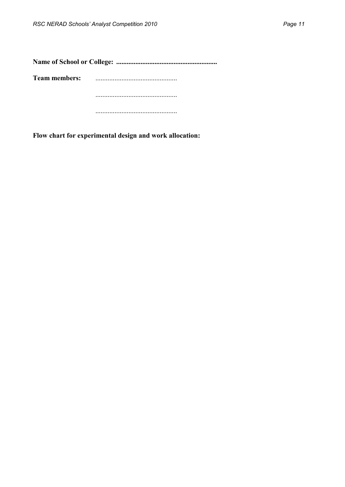| <b>Team members:</b> |  |  |  |  |  |  |
|----------------------|--|--|--|--|--|--|
|                      |  |  |  |  |  |  |
|                      |  |  |  |  |  |  |

**Flow chart for experimental design and work allocation:**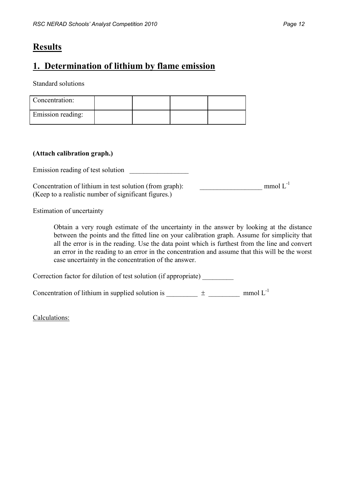### **Results**

## **1. Determination of lithium by flame emission**

Standard solutions

| Concentration:    |  |  |
|-------------------|--|--|
| Emission reading: |  |  |

#### **(Attach calibration graph.)**

Emission reading of test solution

Concentration of lithium in test solution (from graph):  $\qquad \qquad \qquad \qquad \text{mmol L}^{-1}$ (Keep to a realistic number of significant figures.)

Estimation of uncertainty

Obtain a very rough estimate of the uncertainty in the answer by looking at the distance between the points and the fitted line on your calibration graph. Assume for simplicity that all the error is in the reading. Use the data point which is furthest from the line and convert an error in the reading to an error in the concentration and assume that this will be the worst case uncertainty in the concentration of the answer.

Correction factor for dilution of test solution (if appropriate) \_\_\_\_\_\_\_\_\_

Concentration of lithium in supplied solution is \_\_\_\_\_\_\_\_\_\_  $\pm$  \_\_\_\_\_\_\_\_\_\_ mmol L<sup>-1</sup>

Calculations: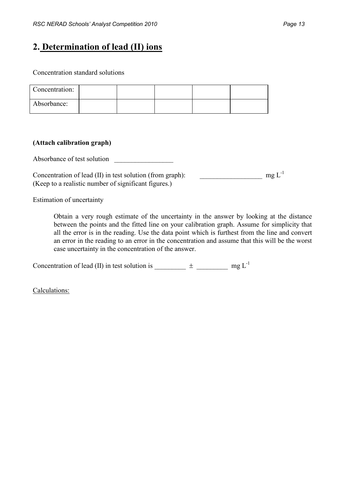## **2. Determination of lead (II) ions**

Concentration standard solutions

| Concentration: |  |  |  |
|----------------|--|--|--|
| Absorbance:    |  |  |  |

#### **(Attach calibration graph)**

Absorbance of test solution

Concentration of lead (II) in test solution (from graph):  $\qquad \qquad \qquad \qquad \qquad$  mg L<sup>-1</sup> (Keep to a realistic number of significant figures.)

Estimation of uncertainty

Obtain a very rough estimate of the uncertainty in the answer by looking at the distance between the points and the fitted line on your calibration graph. Assume for simplicity that all the error is in the reading. Use the data point which is furthest from the line and convert an error in the reading to an error in the concentration and assume that this will be the worst case uncertainty in the concentration of the answer.

Concentration of lead (II) in test solution is \_\_\_\_\_\_\_\_\_  $\pm$  \_\_\_\_\_\_\_\_\_\_ mg L<sup>-1</sup>

Calculations: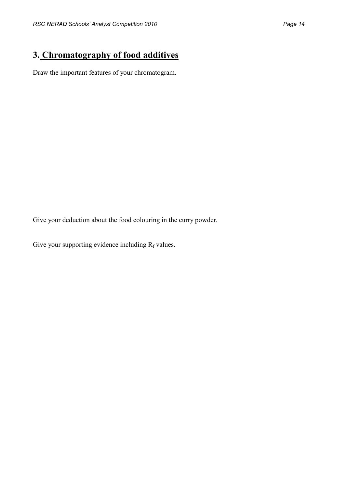# **3. Chromatography of food additives**

Draw the important features of your chromatogram.

Give your deduction about the food colouring in the curry powder.

Give your supporting evidence including  $R_f$  values.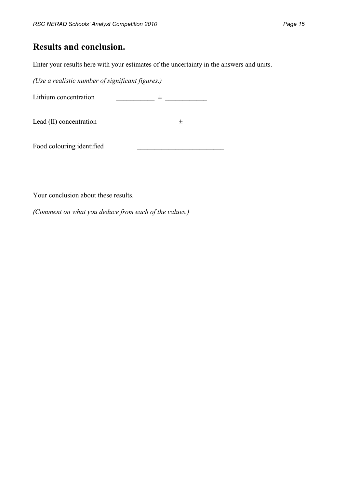### **Results and conclusion.**

Enter your results here with your estimates of the uncertainty in the answers and units.

*(Use a realistic number of significant figures.)*

Lithium concentration  $\frac{1}{2}$   $\frac{1}{2}$   $\frac{1}{2}$   $\frac{1}{2}$   $\frac{1}{2}$   $\frac{1}{2}$   $\frac{1}{2}$   $\frac{1}{2}$   $\frac{1}{2}$   $\frac{1}{2}$   $\frac{1}{2}$   $\frac{1}{2}$   $\frac{1}{2}$   $\frac{1}{2}$   $\frac{1}{2}$   $\frac{1}{2}$   $\frac{1}{2}$   $\frac{1}{2}$   $\frac{1}{2}$   $\frac{1}{2}$ 

Lead (II) concentration  $\frac{1}{2}$   $\frac{1}{2}$   $\frac{1}{2}$   $\frac{1}{2}$   $\frac{1}{2}$   $\frac{1}{2}$   $\frac{1}{2}$   $\frac{1}{2}$   $\frac{1}{2}$   $\frac{1}{2}$   $\frac{1}{2}$   $\frac{1}{2}$   $\frac{1}{2}$   $\frac{1}{2}$   $\frac{1}{2}$   $\frac{1}{2}$   $\frac{1}{2}$   $\frac{1}{2}$   $\frac{1}{2}$   $\frac{1}{2$ 

Food colouring identified

Your conclusion about these results.

*(Comment on what you deduce from each of the values.)*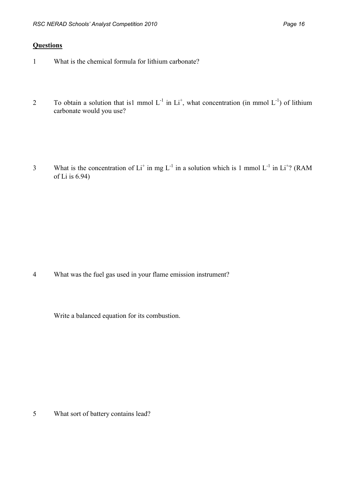#### **Questions**

- 1 What is the chemical formula for lithium carbonate?
- 2 To obtain a solution that is1 mmol  $L^{-1}$  in  $Li^+$ , what concentration (in mmol  $L^{-1}$ ) of lithium carbonate would you use?

3 What is the concentration of  $Li^+$  in mg  $L^{-1}$  in a solution which is 1 mmol  $L^{-1}$  in  $Li^+$ ? (RAM of Li is 6.94)

4 What was the fuel gas used in your flame emission instrument?

Write a balanced equation for its combustion.

5 What sort of battery contains lead?